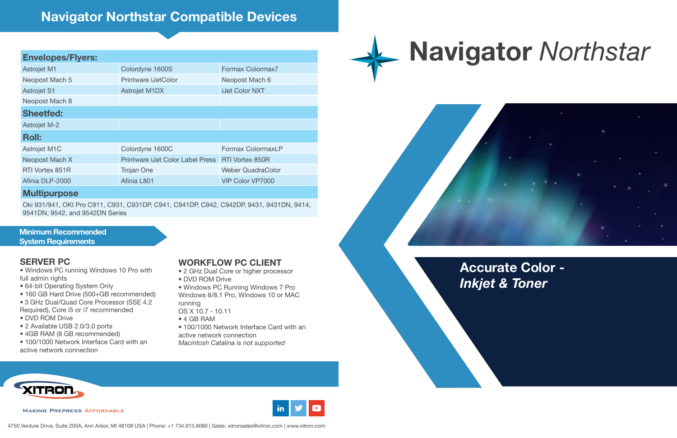**Accurate Color -**  *Inkjet & Toner* 

## **Navigator** *Northstar*



**Minimum Recommended System Requirements**

### **SERVER PC**

- Windows PC running Windows 10 Pro with full admin rights
- 64-bit Operating System Only
- 160 GB Hard Drive (500+GB recommended)
- 3 GHz Dual/Quad Core Processor (SSE 4.2
- Required), Core i5 or i7 recommended
- DVD ROM Drive
- 2 Available USB 2.0/3.0 ports
- 4GB RAM (8 GB recommended)
- 100/1000 Network Interface Card with an active network connection

#### **WORKFLOW PC CLIENT**

- 2 GHz Dual Core or higher processor
- DVD ROM Drive
- Windows PC Running Windows 7 Pro Windows 8/8.1 Pro, Windows 10 or MAC running OS X 10.7 - 10.11
- 
- 4 GB RAM
- 100/1000 Network Interface Card with an active network connection

*Macintosh Catalina is not supported*











### **Navigator Northstar Compatible Devices**

### **Envelopes/Flyers:**

| <b>Astrojet M1</b>  | Colordyne 1600S                  | Formax Colormax7         |
|---------------------|----------------------------------|--------------------------|
| Neopost Mach 5      | Printware iJetColor              | Neopost Mach 6           |
| <b>Astrojet S1</b>  | <b>Astrojet M1DX</b>             | <b>iJet Color NXT</b>    |
| Neopost Mach 8      |                                  |                          |
| <b>Sheetfed:</b>    |                                  |                          |
| <b>Astrojet M-2</b> |                                  |                          |
| <b>Roll:</b>        |                                  |                          |
| Astrojet M1C        | Colordyne 1600C                  | Formax ColormaxLP        |
| Neopost Mach X      | Printware iJet Color Label Press | <b>RTI Vortex 850R</b>   |
| RTI Vortex 851R     | <b>Trojan One</b>                | <b>Weber QuadraColor</b> |
| Afinia DLP-2000     | Afinia L801                      | <b>VIP Color VP7000</b>  |
| .                   |                                  |                          |

#### **Multipurpose**

Oki 931/941, OKI Pro C911, C931, C931DP, C941, C941DP, C942, C942DP, 9431, 9431DN, 9414, 9541DN, 9542, and 9542DN Series